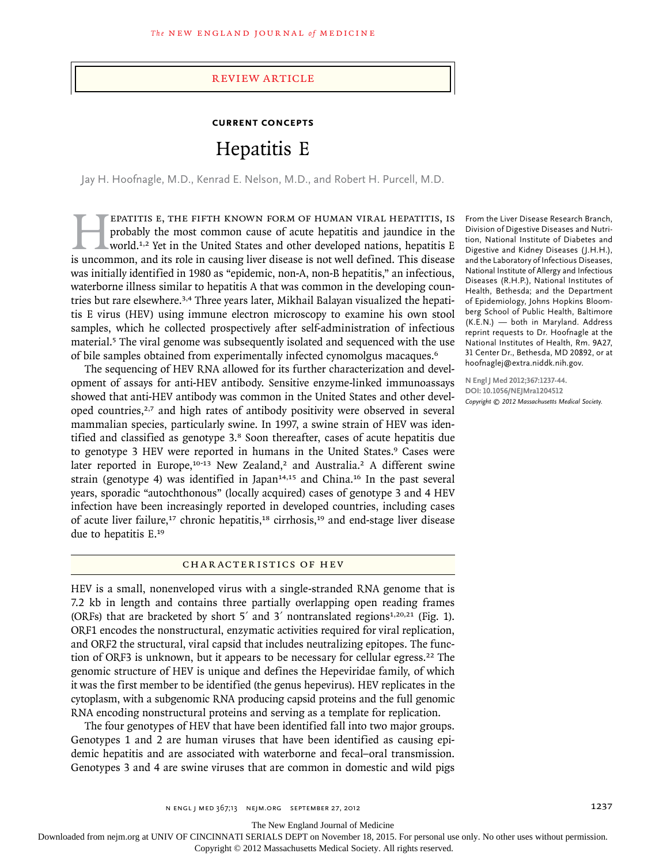#### review article

## **Current Concepts**

# Hepatitis E

Jay H. Hoofnagle, M.D., Kenrad E. Nelson, M.D., and Robert H. Purcell, M.D.

**EPATITIS E, THE FIFTH KNOWN FORM OF HUMAN VIRAL HEPATITIS, IS** probably the most common cause of acute hepatitis and jaundice in the world.<sup>1,2</sup> Yet in the United States and other developed nations, hepatitis E is uncommo probably the most common cause of acute hepatitis and jaundice in the world.<sup>1,2</sup> Yet in the United States and other developed nations, hepatitis E is uncommon, and its role in causing liver disease is not well defined. This disease was initially identified in 1980 as "epidemic, non-A, non-B hepatitis," an infectious, waterborne illness similar to hepatitis A that was common in the developing countries but rare elsewhere.<sup>3,4</sup> Three years later, Mikhail Balayan visualized the hepatitis E virus (HEV) using immune electron microscopy to examine his own stool samples, which he collected prospectively after self-administration of infectious material.5 The viral genome was subsequently isolated and sequenced with the use of bile samples obtained from experimentally infected cynomolgus macaques.<sup>6</sup>

The sequencing of HEV RNA allowed for its further characterization and development of assays for anti-HEV antibody. Sensitive enzyme-linked immunoassays showed that anti-HEV antibody was common in the United States and other developed countries,<sup>2,7</sup> and high rates of antibody positivity were observed in several mammalian species, particularly swine. In 1997, a swine strain of HEV was identified and classified as genotype 3.8 Soon thereafter, cases of acute hepatitis due to genotype 3 HEV were reported in humans in the United States.<sup>9</sup> Cases were later reported in Europe,<sup>10-13</sup> New Zealand,<sup>2</sup> and Australia.<sup>2</sup> A different swine strain (genotype 4) was identified in Japan<sup>14,15</sup> and China.<sup>16</sup> In the past several years, sporadic "autochthonous" (locally acquired) cases of genotype 3 and 4 HEV infection have been increasingly reported in developed countries, including cases of acute liver failure,<sup>17</sup> chronic hepatitis,<sup>18</sup> cirrhosis,<sup>19</sup> and end-stage liver disease due to hepatitis E.<sup>19</sup>

#### CHARACTERISTICS OF HEV

HEV is a small, nonenveloped virus with a single-stranded RNA genome that is 7.2 kb in length and contains three partially overlapping open reading frames (ORFs) that are bracketed by short  $5'$  and  $3'$  nontranslated regions<sup>1,20,21</sup> (Fig. 1). ORF1 encodes the nonstructural, enzymatic activities required for viral replication, and ORF2 the structural, viral capsid that includes neutralizing epitopes. The function of ORF3 is unknown, but it appears to be necessary for cellular egress.<sup>22</sup> The genomic structure of HEV is unique and defines the Hepeviridae family, of which it was the first member to be identified (the genus hepevirus). HEV replicates in the cytoplasm, with a subgenomic RNA producing capsid proteins and the full genomic RNA encoding nonstructural proteins and serving as a template for replication.

The four genotypes of HEV that have been identified fall into two major groups. Genotypes 1 and 2 are human viruses that have been identified as causing epidemic hepatitis and are associated with waterborne and fecal–oral transmission. Genotypes 3 and 4 are swine viruses that are common in domestic and wild pigs

From the Liver Disease Research Branch, Division of Digestive Diseases and Nutrition, National Institute of Diabetes and Digestive and Kidney Diseases (J.H.H.), and the Laboratory of Infectious Diseases, National Institute of Allergy and Infectious Diseases (R.H.P.), National Institutes of Health, Bethesda; and the Department of Epidemiology, Johns Hopkins Bloomberg School of Public Health, Baltimore (K.E.N.) — both in Maryland. Address reprint requests to Dr. Hoofnagle at the National Institutes of Health, Rm. 9A27, 31 Center Dr., Bethesda, MD 20892, or at hoofnaglej@extra.niddk.nih.gov.

**N Engl J Med 2012;367:1237-44. DOI: 10.1056/NEJMra1204512** *Copyright © 2012 Massachusetts Medical Society.*

The New England Journal of Medicine

Downloaded from nejm.org at UNIV OF CINCINNATI SERIALS DEPT on November 18, 2015. For personal use only. No other uses without permission.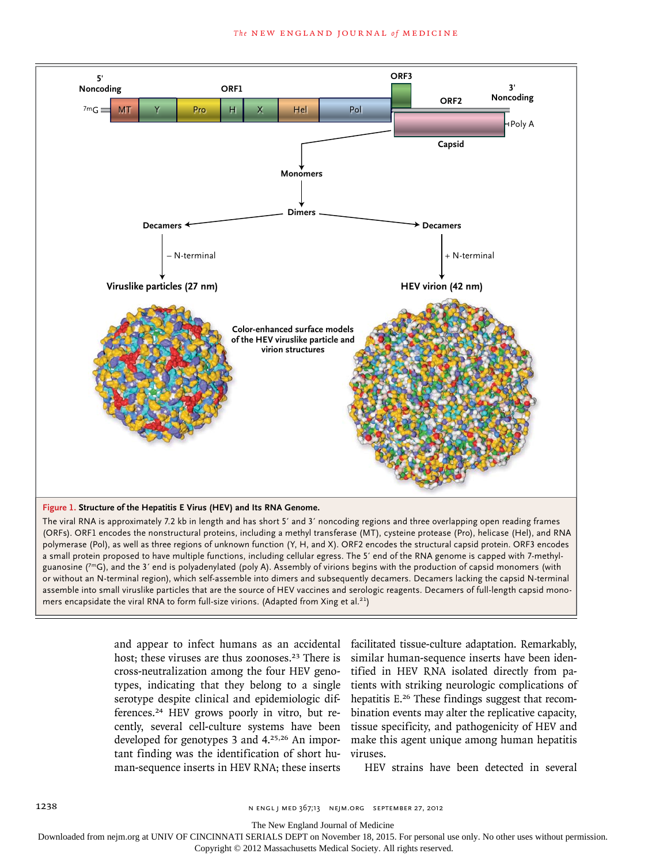

The viral RNA is approximately 7.2 kb in length and has short 5′ and 3′ noncoding regions and three overlapping open reading frames (ORFs). ORF1 encodes the nonstructural proteins, including a methyl transferase (MT), cysteine protease (Pro), helicase (Hel), and RNA polymerase (Pol), as well as three regions of unknown function (Y, H, and X). ORF2 encodes the structural capsid protein. ORF3 encodes a small protein proposed to have multiple functions, including cellular egress. The 5′ end of the RNA genome is capped with 7-methylguanosine  $(7 \text{mG})$ , and the 3' end is polyadenylated (poly A). Assembly of virions begins with the production of capsid monomers (with or without an N-terminal region), which self-assemble into dimers and subsequently decamers. Decamers lacking the capsid N-terminal assemble into small viruslike particles that are the source of HEV vaccines and serologic reagents. Decamers of full-length capsid monomers encapsidate the viral RNA to form full-size virions. (Adapted from Xing et al.<sup>21</sup>)

> and appear to infect humans as an accidental host; these viruses are thus zoonoses.<sup>23</sup> There is cross-neutralization among the four HEV genotypes, indicating that they belong to a single serotype despite clinical and epidemiologic differences.24 HEV grows poorly in vitro, but recently, several cell-culture systems have been developed for genotypes 3 and 4.25,26 An important finding was the identification of short human-sequence inserts in HEV RNA; these inserts

facilitated tissue-culture adaptation. Remarkably, similar human-sequence inserts have been identified in HEV RNA isolated directly from patients with striking neurologic complications of hepatitis E.26 These findings suggest that recombination events may alter the replicative capacity, tissue specificity, and pathogenicity of HEV and make this agent unique among human hepatitis viruses.

HEV strains have been detected in several

The New England Journal of Medicine

Downloaded from nejm.org at UNIV OF CINCINNATI SERIALS DEPT on November 18, 2015. For personal use only. No other uses without permission.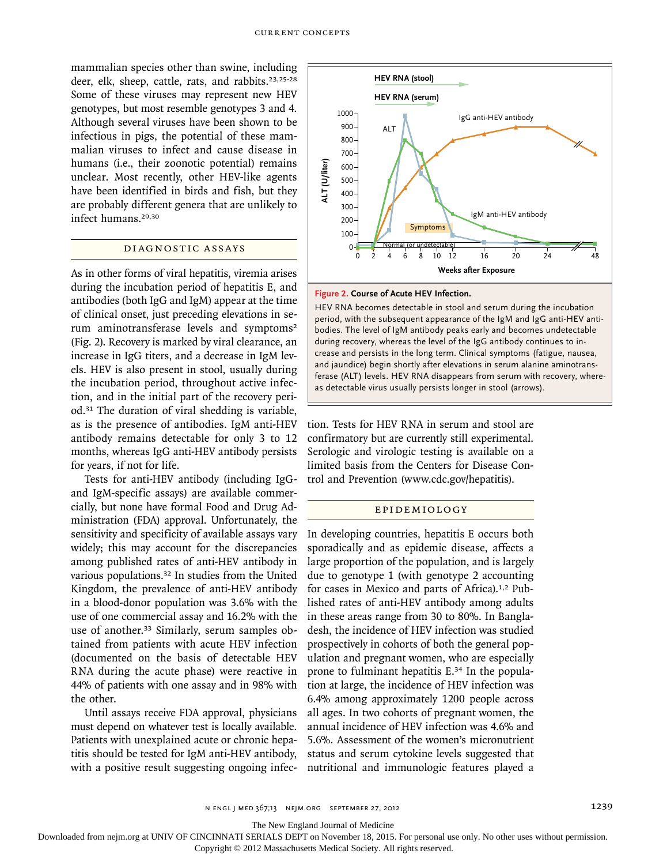mammalian species other than swine, including deer, elk, sheep, cattle, rats, and rabbits.<sup>23,25-28</sup> Some of these viruses may represent new HEV genotypes, but most resemble genotypes 3 and 4. Although several viruses have been shown to be infectious in pigs, the potential of these mammalian viruses to infect and cause disease in humans (i.e., their zoonotic potential) remains unclear. Most recently, other HEV-like agents have been identified in birds and fish, but they are probably different genera that are unlikely to infect humans.<sup>29,30</sup>

## DIAGNOSTIC ASSAYS

As in other forms of viral hepatitis, viremia arises during the incubation period of hepatitis E, and antibodies (both IgG and IgM) appear at the time of clinical onset, just preceding elevations in serum aminotransferase levels and symptoms<sup>2</sup> (Fig. 2). Recovery is marked by viral clearance, an increase in IgG titers, and a decrease in IgM levels. HEV is also present in stool, usually during the incubation period, throughout active infection, and in the initial part of the recovery period.31 The duration of viral shedding is variable, as is the presence of antibodies. IgM anti-HEV antibody remains detectable for only 3 to 12 months, whereas IgG anti-HEV antibody persists for years, if not for life.

Tests for anti-HEV antibody (including IgGand IgM-specific assays) are available commercially, but none have formal Food and Drug Administration (FDA) approval. Unfortunately, the sensitivity and specificity of available assays vary widely; this may account for the discrepancies among published rates of anti-HEV antibody in various populations.<sup>32</sup> In studies from the United Kingdom, the prevalence of anti-HEV antibody in a blood-donor population was 3.6% with the use of one commercial assay and 16.2% with the use of another.<sup>33</sup> Similarly, serum samples obtained from patients with acute HEV infection (documented on the basis of detectable HEV RNA during the acute phase) were reactive in 44% of patients with one assay and in 98% with the other.

Until assays receive FDA approval, physicians must depend on whatever test is locally available. Patients with unexplained acute or chronic hepatitis should be tested for IgM anti-HEV antibody, with a positive result suggesting ongoing infec-



#### **Figure 2. Course of Acute HEV Infection.**

HEV RNA becomes detectable in stool and serum during the incubation period, with the subsequent appearance of the IgM and IgG anti-HEV antibodies. The level of IgM antibody peaks early and becomes undetectable during recovery, whereas the level of the IgG antibody continues to increase and persists in the long term. Clinical symptoms (fatigue, nausea, and jaundice) begin shortly after elevations in serum alanine aminotransferase (ALT) levels. HEV RNA disappears from serum with recovery, whereas detectable virus usually persists longer in stool (arrows).

tion. Tests for HEV RNA in serum and stool are confirmatory but are currently still experimental. Serologic and virologic testing is available on a limited basis from the Centers for Disease Control and Prevention (www.cdc.gov/hepatitis).

#### Epidemiol o gy

In developing countries, hepatitis E occurs both sporadically and as epidemic disease, affects a large proportion of the population, and is largely due to genotype 1 (with genotype 2 accounting for cases in Mexico and parts of Africa).1,2 Published rates of anti-HEV antibody among adults in these areas range from 30 to 80%. In Bangladesh, the incidence of HEV infection was studied prospectively in cohorts of both the general population and pregnant women, who are especially prone to fulminant hepatitis E.34 In the population at large, the incidence of HEV infection was 6.4% among approximately 1200 people across all ages. In two cohorts of pregnant women, the annual incidence of HEV infection was 4.6% and 5.6%. Assessment of the women's micronutrient status and serum cytokine levels suggested that number and the method of the method and increase and personal and increase and personal and increase and personal personal personal personal personal personal personal personal personal personal personal personal personal

The New England Journal of Medicine

Downloaded from nejm.org at UNIV OF CINCINNATI SERIALS DEPT on November 18, 2015. For personal use only. No other uses without permission.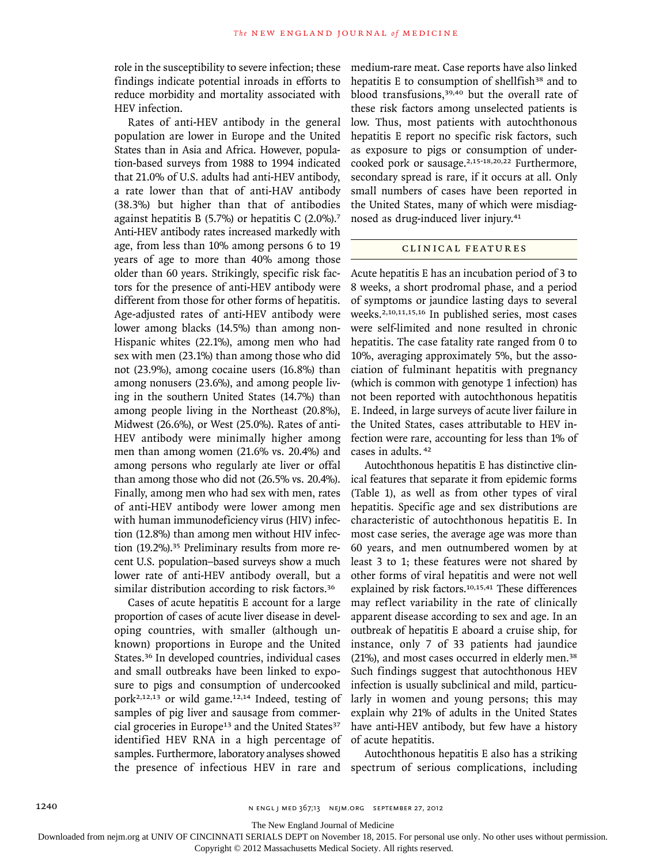role in the susceptibility to severe infection; these findings indicate potential inroads in efforts to reduce morbidity and mortality associated with HEV infection.

Rates of anti-HEV antibody in the general population are lower in Europe and the United States than in Asia and Africa. However, population-based surveys from 1988 to 1994 indicated that 21.0% of U.S. adults had anti-HEV antibody, a rate lower than that of anti-HAV antibody (38.3%) but higher than that of antibodies against hepatitis B (5.7%) or hepatitis C (2.0%).<sup>7</sup> Anti-HEV antibody rates increased markedly with age, from less than 10% among persons 6 to 19 years of age to more than 40% among those older than 60 years. Strikingly, specific risk factors for the presence of anti-HEV antibody were different from those for other forms of hepatitis. Age-adjusted rates of anti-HEV antibody were lower among blacks (14.5%) than among non-Hispanic whites (22.1%), among men who had sex with men (23.1%) than among those who did not (23.9%), among cocaine users (16.8%) than among nonusers (23.6%), and among people living in the southern United States (14.7%) than among people living in the Northeast (20.8%), Midwest (26.6%), or West (25.0%). Rates of anti-HEV antibody were minimally higher among men than among women (21.6% vs. 20.4%) and among persons who regularly ate liver or offal than among those who did not (26.5% vs. 20.4%). Finally, among men who had sex with men, rates of anti-HEV antibody were lower among men with human immunodeficiency virus (HIV) infection (12.8%) than among men without HIV infection (19.2%).35 Preliminary results from more recent U.S. population–based surveys show a much lower rate of anti-HEV antibody overall, but a similar distribution according to risk factors.<sup>36</sup>

Cases of acute hepatitis E account for a large proportion of cases of acute liver disease in developing countries, with smaller (although unknown) proportions in Europe and the United States.36 In developed countries, individual cases and small outbreaks have been linked to exposure to pigs and consumption of undercooked pork2,12,13 or wild game.12,14 Indeed, testing of samples of pig liver and sausage from commercial groceries in Europe<sup>13</sup> and the United States<sup>37</sup> identified HEV RNA in a high percentage of samples. Furthermore, laboratory analyses showed the presence of infectious HEV in rare and medium-rare meat. Case reports have also linked hepatitis E to consumption of shellfish<sup>38</sup> and to blood transfusions,<sup>39,40</sup> but the overall rate of these risk factors among unselected patients is low. Thus, most patients with autochthonous hepatitis E report no specific risk factors, such as exposure to pigs or consumption of undercooked pork or sausage.2,15-18,20,22 Furthermore, secondary spread is rare, if it occurs at all. Only small numbers of cases have been reported in the United States, many of which were misdiagnosed as drug-induced liver injury.<sup>41</sup>

#### CLINICAL FEATURES

Acute hepatitis E has an incubation period of 3 to 8 weeks, a short prodromal phase, and a period of symptoms or jaundice lasting days to several weeks.2,10,11,15,16 In published series, most cases were self-limited and none resulted in chronic hepatitis. The case fatality rate ranged from 0 to 10%, averaging approximately 5%, but the association of fulminant hepatitis with pregnancy (which is common with genotype 1 infection) has not been reported with autochthonous hepatitis E. Indeed, in large surveys of acute liver failure in the United States, cases attributable to HEV infection were rare, accounting for less than 1% of cases in adults.<sup>42</sup>

Autochthonous hepatitis E has distinctive clinical features that separate it from epidemic forms (Table 1), as well as from other types of viral hepatitis. Specific age and sex distributions are characteristic of autochthonous hepatitis E. In most case series, the average age was more than 60 years, and men outnumbered women by at least 3 to 1; these features were not shared by other forms of viral hepatitis and were not well explained by risk factors.<sup>10,15,41</sup> These differences may reflect variability in the rate of clinically apparent disease according to sex and age. In an outbreak of hepatitis E aboard a cruise ship, for instance, only 7 of 33 patients had jaundice (21%), and most cases occurred in elderly men.<sup>38</sup> Such findings suggest that autochthonous HEV infection is usually subclinical and mild, particularly in women and young persons; this may explain why 21% of adults in the United States have anti-HEV antibody, but few have a history of acute hepatitis.

Autochthonous hepatitis E also has a striking spectrum of serious complications, including

The New England Journal of Medicine

Downloaded from nejm.org at UNIV OF CINCINNATI SERIALS DEPT on November 18, 2015. For personal use only. No other uses without permission.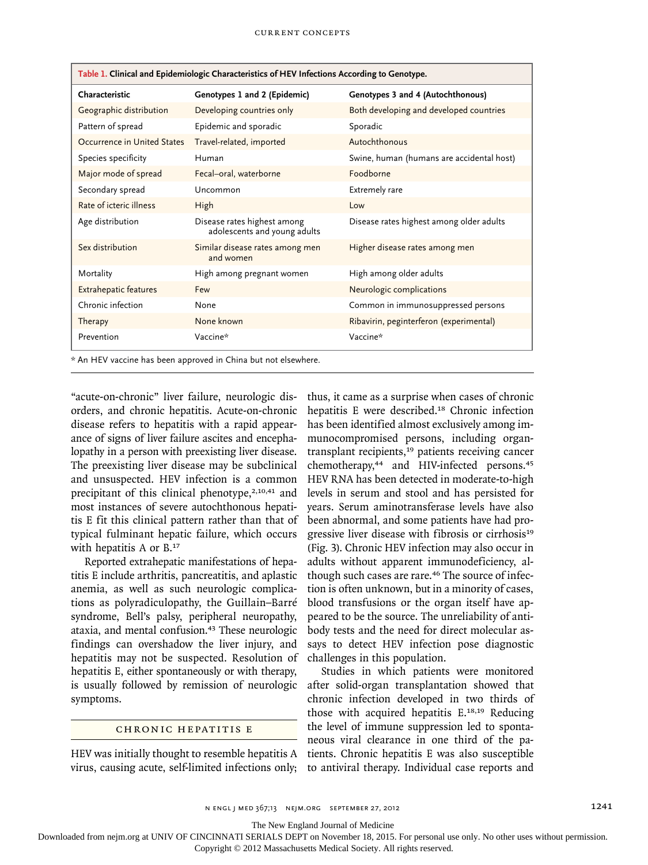| Table 1. Clinical and Epidemiologic Characteristics of HEV Infections According to Genotype. |                                                             |                                           |
|----------------------------------------------------------------------------------------------|-------------------------------------------------------------|-------------------------------------------|
| Characteristic                                                                               | Genotypes 1 and 2 (Epidemic)                                | Genotypes 3 and 4 (Autochthonous)         |
| Geographic distribution                                                                      | Developing countries only                                   | Both developing and developed countries   |
| Pattern of spread                                                                            | Epidemic and sporadic                                       | Sporadic                                  |
| Occurrence in United States                                                                  | Travel-related, imported                                    | Autochthonous                             |
| Species specificity                                                                          | Human                                                       | Swine, human (humans are accidental host) |
| Major mode of spread                                                                         | Fecal-oral, waterborne                                      | Foodborne                                 |
| Secondary spread                                                                             | Uncommon                                                    | Extremely rare                            |
| Rate of icteric illness                                                                      | High                                                        | Low                                       |
| Age distribution                                                                             | Disease rates highest among<br>adolescents and young adults | Disease rates highest among older adults  |
| Sex distribution                                                                             | Similar disease rates among men<br>and women                | Higher disease rates among men            |
| Mortality                                                                                    | High among pregnant women                                   | High among older adults                   |
| <b>Extrahepatic features</b>                                                                 | Few                                                         | Neurologic complications                  |
| Chronic infection                                                                            | None                                                        | Common in immunosuppressed persons        |
| Therapy                                                                                      | None known                                                  | Ribavirin, peginterferon (experimental)   |
| Prevention                                                                                   | Vaccine*                                                    | Vaccine*                                  |
| * An HEV vaccine has been approved in China but not elsewhere.                               |                                                             |                                           |

"acute-on-chronic" liver failure, neurologic disorders, and chronic hepatitis. Acute-on-chronic disease refers to hepatitis with a rapid appearance of signs of liver failure ascites and encephalopathy in a person with preexisting liver disease. The preexisting liver disease may be subclinical and unsuspected. HEV infection is a common precipitant of this clinical phenotype, $2,10,41$  and most instances of severe autochthonous hepatitis E fit this clinical pattern rather than that of typical fulminant hepatic failure, which occurs

Reported extrahepatic manifestations of hepatitis E include arthritis, pancreatitis, and aplastic anemia, as well as such neurologic complications as polyradiculopathy, the Guillain–Barré syndrome, Bell's palsy, peripheral neuropathy, ataxia, and mental confusion.43 These neurologic findings can overshadow the liver injury, and hepatitis may not be suspected. Resolution of hepatitis E, either spontaneously or with therapy, is usually followed by remission of neurologic symptoms.

with hepatitis A or B.<sup>17</sup>

#### CHRONIC HEPATITIS E

HEV was initially thought to resemble hepatitis A virus, causing acute, self-limited infections only; thus, it came as a surprise when cases of chronic hepatitis E were described.18 Chronic infection has been identified almost exclusively among immunocompromised persons, including organtransplant recipients,19 patients receiving cancer chemotherapy,<sup>44</sup> and HIV-infected persons.<sup>45</sup> HEV RNA has been detected in moderate-to-high levels in serum and stool and has persisted for years. Serum aminotransferase levels have also been abnormal, and some patients have had progressive liver disease with fibrosis or cirrhosis<sup>19</sup> (Fig. 3). Chronic HEV infection may also occur in adults without apparent immunodeficiency, although such cases are rare.<sup>46</sup> The source of infection is often unknown, but in a minority of cases, blood transfusions or the organ itself have appeared to be the source. The unreliability of antibody tests and the need for direct molecular assays to detect HEV infection pose diagnostic challenges in this population.

Studies in which patients were monitored after solid-organ transplantation showed that chronic infection developed in two thirds of those with acquired hepatitis E.<sup>18,19</sup> Reducing the level of immune suppression led to spontaneous viral clearance in one third of the patients. Chronic hepatitis E was also susceptible to antiviral therapy. Individual case reports and

n engl j med 367;13 nejm.org september 27, 2012 1241

The New England Journal of Medicine

Downloaded from nejm.org at UNIV OF CINCINNATI SERIALS DEPT on November 18, 2015. For personal use only. No other uses without permission.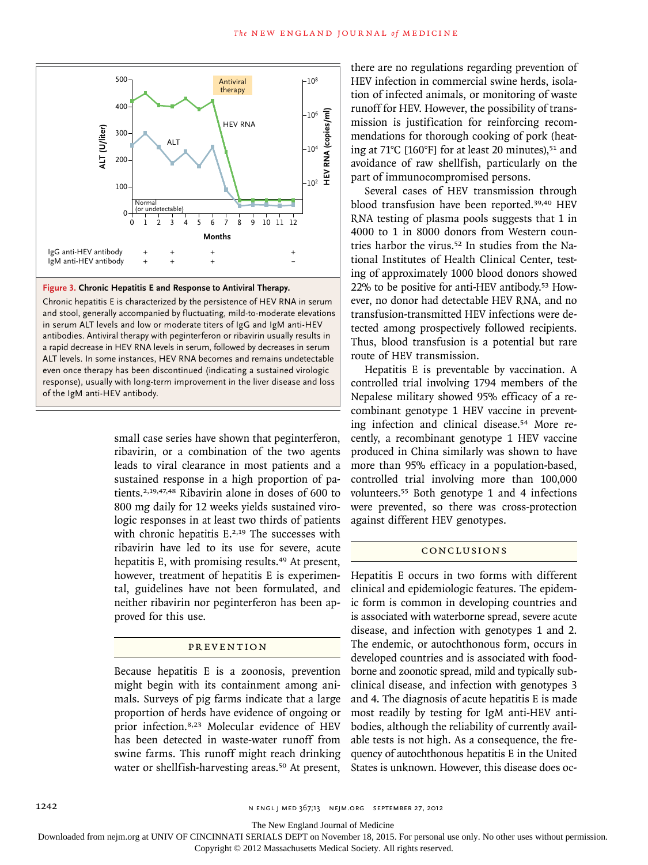

#### **Figure 3. Chronic Hepatitis E and Response to Antiviral Therapy.**

Chronic hepatitis E is characterized by the persistence of HEV RNA in serum and stool, generally accompanied by fluctuating, mild-to-moderate elevations in serum ALT levels and low or moderate titers of IgG and IgM anti-HEV antibodies. Antiviral therapy with peginterferon or ribavirin usually results in a rapid decrease in HEV RNA levels in serum, followed by decreases in serum ALT levels. In some instances, HEV RNA becomes and remains undetectable even once therapy has been discontinued (indicating a sustained virologic response), usually with long-term improvement in the liver disease and loss of the IgM anti-HEV antibody.

> small case series have shown that peginterferon, ribavirin, or a combination of the two agents leads to viral clearance in most patients and a sustained response in a high proportion of patients.2,19,47,48 Ribavirin alone in doses of 600 to 800 mg daily for 12 weeks yields sustained virologic responses in at least two thirds of patients with chronic hepatitis E.<sup>2,19</sup> The successes with ribavirin have led to its use for severe, acute hepatitis E, with promising results.<sup>49</sup> At present, however, treatment of hepatitis E is experimental, guidelines have not been formulated, and neither ribavirin nor peginterferon has been approved for this use.

### PR EVENTION

Because hepatitis E is a zoonosis, prevention might begin with its containment among animals. Surveys of pig farms indicate that a large proportion of herds have evidence of ongoing or prior infection.8,23 Molecular evidence of HEV has been detected in waste-water runoff from swine farms. This runoff might reach drinking water or shellfish-harvesting areas.<sup>50</sup> At present, there are no regulations regarding prevention of HEV infection in commercial swine herds, isolation of infected animals, or monitoring of waste runoff for HEV. However, the possibility of transmission is justification for reinforcing recommendations for thorough cooking of pork (heating at 71°C [160°F] for at least 20 minutes),<sup>51</sup> and avoidance of raw shellfish, particularly on the part of immunocompromised persons.

Several cases of HEV transmission through blood transfusion have been reported.39,40 HEV RNA testing of plasma pools suggests that 1 in 4000 to 1 in 8000 donors from Western countries harbor the virus.52 In studies from the National Institutes of Health Clinical Center, testing of approximately 1000 blood donors showed 22% to be positive for anti-HEV antibody.53 However, no donor had detectable HEV RNA, and no transfusion-transmitted HEV infections were detected among prospectively followed recipients. Thus, blood transfusion is a potential but rare route of HEV transmission.

Hepatitis E is preventable by vaccination. A controlled trial involving 1794 members of the Nepalese military showed 95% efficacy of a recombinant genotype 1 HEV vaccine in preventing infection and clinical disease.54 More recently, a recombinant genotype 1 HEV vaccine produced in China similarly was shown to have more than 95% efficacy in a population-based, controlled trial involving more than 100,000 volunteers.55 Both genotype 1 and 4 infections were prevented, so there was cross-protection against different HEV genotypes.

#### Conclusions

Hepatitis E occurs in two forms with different clinical and epidemiologic features. The epidemic form is common in developing countries and is associated with waterborne spread, severe acute disease, and infection with genotypes 1 and 2. The endemic, or autochthonous form, occurs in developed countries and is associated with foodborne and zoonotic spread, mild and typically subclinical disease, and infection with genotypes 3 and 4. The diagnosis of acute hepatitis E is made most readily by testing for IgM anti-HEV antibodies, although the reliability of currently available tests is not high. As a consequence, the frequency of autochthonous hepatitis E in the United States is unknown. However, this disease does oc-

The New England Journal of Medicine

Downloaded from nejm.org at UNIV OF CINCINNATI SERIALS DEPT on November 18, 2015. For personal use only. No other uses without permission.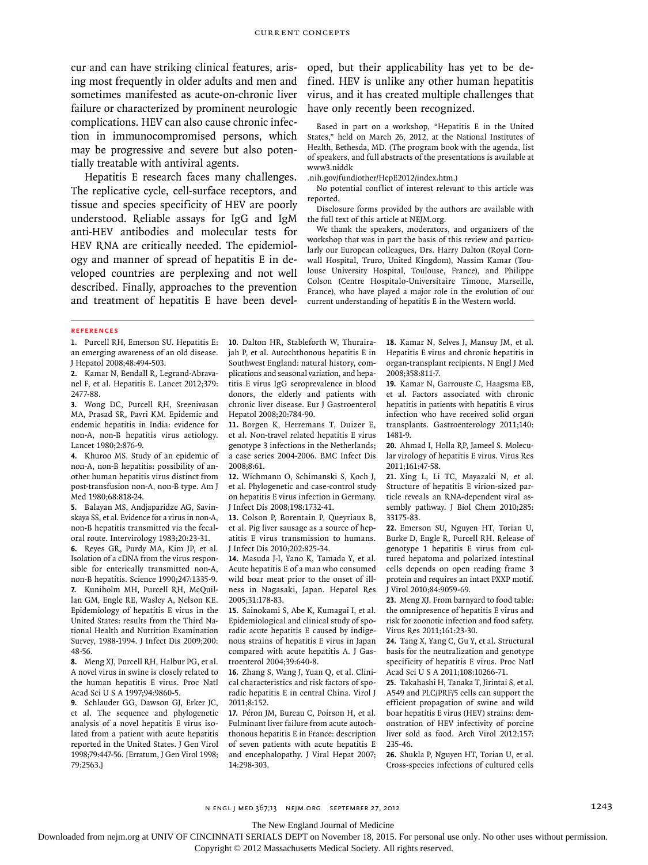cur and can have striking clinical features, arising most frequently in older adults and men and sometimes manifested as acute-on-chronic liver failure or characterized by prominent neurologic complications. HEV can also cause chronic infection in immunocompromised persons, which may be progressive and severe but also potentially treatable with antiviral agents.

Hepatitis E research faces many challenges. The replicative cycle, cell-surface receptors, and tissue and species specificity of HEV are poorly understood. Reliable assays for IgG and IgM anti-HEV antibodies and molecular tests for HEV RNA are critically needed. The epidemiology and manner of spread of hepatitis E in developed countries are perplexing and not well described. Finally, approaches to the prevention and treatment of hepatitis E have been devel-

oped, but their applicability has yet to be defined. HEV is unlike any other human hepatitis virus, and it has created multiple challenges that have only recently been recognized.

Based in part on a workshop, "Hepatitis E in the United States," held on March 26, 2012, at the National Institutes of Health, Bethesda, MD. (The program book with the agenda, list of speakers, and full abstracts of the presentations is available at www3.niddk

.nih.gov/fund/other/HepE2012/index.htm.)

No potential conflict of interest relevant to this article was reported.

Disclosure forms provided by the authors are available with the full text of this article at NEJM.org.

We thank the speakers, moderators, and organizers of the workshop that was in part the basis of this review and particularly our European colleagues, Drs. Harry Dalton (Royal Cornwall Hospital, Truro, United Kingdom), Nassim Kamar (Toulouse University Hospital, Toulouse, France), and Philippe Colson (Centre Hospitalo-Universitaire Timone, Marseille, France), who have played a major role in the evolution of our current understanding of hepatitis E in the Western world.

#### **References**

**1.** Purcell RH, Emerson SU. Hepatitis E: an emerging awareness of an old disease. J Hepatol 2008;48:494-503.

**2.** Kamar N, Bendall R, Legrand-Abravanel F, et al. Hepatitis E. Lancet 2012;379: 2477-88.

**3.** Wong DC, Purcell RH, Sreenivasan MA, Prasad SR, Pavri KM. Epidemic and endemic hepatitis in India: evidence for non-A, non-B hepatitis virus aetiology. Lancet 1980;2:876-9.

**4.** Khuroo MS. Study of an epidemic of non-A, non-B hepatitis: possibility of another human hepatitis virus distinct from post-transfusion non-A, non-B type. Am J .<br>Med 1980:68:818-24.

**5.** Balayan MS, Andjaparidze AG, Savinskaya SS, et al. Evidence for a virus in non-A, non-B hepatitis transmitted via the fecaloral route. Intervirology 1983;20:23-31.

**6.** Reyes GR, Purdy MA, Kim JP, et al. Isolation of a cDNA from the virus responsible for enterically transmitted non-A, non-B hepatitis. Science 1990;247:1335-9. **7.** Kuniholm MH, Purcell RH, McQuillan GM, Engle RE, Wasley A, Nelson KE. Epidemiology of hepatitis E virus in the United States: results from the Third National Health and Nutrition Examination Survey, 1988-1994. J Infect Dis 2009;200: 48-56.

**8.** Meng XJ, Purcell RH, Halbur PG, et al. A novel virus in swine is closely related to the human hepatitis E virus. Proc Natl Acad Sci U S A 1997;94:9860-5.

**9.** Schlauder GG, Dawson GJ, Erker JC, et al. The sequence and phylogenetic analysis of a novel hepatitis E virus isolated from a patient with acute hepatitis reported in the United States. J Gen Virol 1998;79:447-56. [Erratum, J Gen Virol 1998; 79:2563.]

**10.** Dalton HR, Stableforth W, Thurairajah P, et al. Autochthonous hepatitis E in Southwest England: natural history, complications and seasonal variation, and hepatitis E virus IgG seroprevalence in blood donors, the elderly and patients with chronic liver disease. Eur J Gastroenterol Hepatol 2008;20:784-90.

**11.** Borgen K, Herremans T, Duizer E, et al. Non-travel related hepatitis E virus genotype 3 infections in the Netherlands; a case series 2004-2006. BMC Infect Dis 2008;8:61.

**12.** Wichmann O, Schimanski S, Koch J, et al. Phylogenetic and case-control study on hepatitis E virus infection in Germany. J Infect Dis 2008;198:1732-41.

**13.** Colson P, Borentain P, Queyriaux B, et al. Pig liver sausage as a source of hepatitis E virus transmission to humans. J Infect Dis 2010;202:825-34.

**14.** Masuda J-I, Yano K, Tamada Y, et al. Acute hepatitis E of a man who consumed wild boar meat prior to the onset of illness in Nagasaki, Japan. Hepatol Res 2005;31:178-83.

**15.** Sainokami S, Abe K, Kumagai I, et al. Epidemiological and clinical study of sporadic acute hepatitis E caused by indigenous strains of hepatitis E virus in Japan compared with acute hepatitis A. J Gastroenterol 2004;39:640-8.

**16.** Zhang S, Wang J, Yuan Q, et al. Clinical characteristics and risk factors of sporadic hepatitis E in central China. Virol J 2011;8:152.

**17.** Péron JM, Bureau C, Poirson H, et al. Fulminant liver failure from acute autochthonous hepatitis E in France: description of seven patients with acute hepatitis E and encephalopathy. J Viral Hepat 2007; 14:298-303.

**18.** Kamar N, Selves J, Mansuy JM, et al. Hepatitis E virus and chronic hepatitis in organ-transplant recipients. N Engl J Med 2008;358:811-7.

**19.** Kamar N, Garrouste C, Haagsma EB, et al. Factors associated with chronic hepatitis in patients with hepatitis E virus infection who have received solid organ transplants. Gastroenterology 2011;140: 1481-9.

**20.** Ahmad I, Holla RP, Jameel S. Molecular virology of hepatitis E virus. Virus Res 2011;161:47-58.

**21.** Xing L, Li TC, Mayazaki N, et al. Structure of hepatitis E virion-sized particle reveals an RNA-dependent viral assembly pathway. J Biol Chem 2010;285: 33175-83.

**22.** Emerson SU, Nguyen HT, Torian U, Burke D, Engle R, Purcell RH. Release of genotype 1 hepatitis E virus from cultured hepatoma and polarized intestinal cells depends on open reading frame 3 protein and requires an intact PXXP motif. J Virol 2010;84:9059-69.

**23.** Meng XJ. From barnyard to food table: the omnipresence of hepatitis E virus and risk for zoonotic infection and food safety. Virus Res 2011;161:23-30.

**24.** Tang X, Yang C, Gu Y, et al. Structural basis for the neutralization and genotype specificity of hepatitis E virus. Proc Natl Acad Sci U S A 2011;108:10266-71.

**25.** Takahashi H, Tanaka T, Jirintai S, et al. A549 and PLC/PRF/5 cells can support the efficient propagation of swine and wild boar hepatitis E virus (HEV) strains: demonstration of HEV infectivity of porcine liver sold as food. Arch Virol 2012;157: 235-46.

**26.** Shukla P, Nguyen HT, Torian U, et al. Cross-species infections of cultured cells

n engl j med 367;13 nejm.org september 27, 2012 1243

The New England Journal of Medicine

Downloaded from nejm.org at UNIV OF CINCINNATI SERIALS DEPT on November 18, 2015. For personal use only. No other uses without permission.